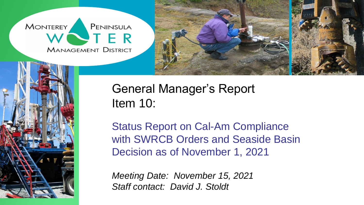**MONTEREY** PENINSULA **STER MANAGEMENT DISTRICT** 





# General Manager's Report Item 10:

Status Report on Cal-Am Compliance with SWRCB Orders and Seaside Basin Decision as of November 1, 2021

*Meeting Date: November 15, 2021 Staff contact: David J. Stoldt*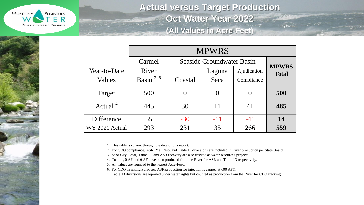

**Actual versus Target Production Oct Water Year 2022 (All Values in Acre-Feet)**

|                | <b>MPWRS</b>   |         |                           |             |                              |  |  |  |  |  |  |  |  |
|----------------|----------------|---------|---------------------------|-------------|------------------------------|--|--|--|--|--|--|--|--|
|                | Carmel         |         | Seaside Groundwater Basin |             |                              |  |  |  |  |  |  |  |  |
| Year-to-Date   | River          |         | Laguna                    | Ajudication | <b>MPWRS</b><br><b>Total</b> |  |  |  |  |  |  |  |  |
| Values         | Basin $^{2,6}$ | Coastal | Seca                      | Compliance  |                              |  |  |  |  |  |  |  |  |
| Target         | 500            |         |                           | $\Omega$    | 500                          |  |  |  |  |  |  |  |  |
| Actual $4$     | 445            | 30      |                           | 41          | 485                          |  |  |  |  |  |  |  |  |
| Difference     | 55             | $-30$   | $-11$                     | $-41$       | 14                           |  |  |  |  |  |  |  |  |
| WY 2021 Actual | 293            | 231     | 35                        | 266         | 559                          |  |  |  |  |  |  |  |  |

1. This table is current through the date of this report.

2. For CDO compliance, ASR, Mal Paso, and Table 13 diversions are included in River production per State Board.

3. Sand City Desal, Table 13, and ASR recovery are also tracked as water resources projects.

4. To date, 0 AF and 0 AF have been produced from the River for ASR and Table 13 respectively.

5. All values are rounded to the nearest Acre-Foot.

6. For CDO Tracking Purposes, ASR production for injection is capped at 600 AFY.

7. Table 13 diversions are reported under water rights but counted as production from the River for CDO tracking.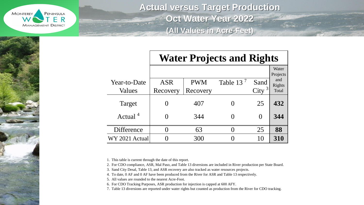

**Actual versus Target Production Oct Water Year 2022 (All Values in Acre-Feet)**

|                        | <b>Water Projects and Rights</b> |                        |                       |                           |                                             |  |  |  |  |  |  |  |  |
|------------------------|----------------------------------|------------------------|-----------------------|---------------------------|---------------------------------------------|--|--|--|--|--|--|--|--|
| Year-to-Date<br>Values | <b>ASR</b><br>Recovery           | <b>PWM</b><br>Recovery | Table 13 <sup>7</sup> | Sand<br>City <sup>3</sup> | Water<br>Projects<br>and<br>Rights<br>Total |  |  |  |  |  |  |  |  |
| Target                 | $\left( \right)$                 | 407                    |                       | 25                        | 432                                         |  |  |  |  |  |  |  |  |
| Actual <sup>4</sup>    |                                  | 344                    |                       | $\Omega$                  | 344                                         |  |  |  |  |  |  |  |  |
| Difference             |                                  | 63                     |                       | 25                        | 88                                          |  |  |  |  |  |  |  |  |
| WY 2021 Actual         |                                  | 300                    |                       | 10                        | 310                                         |  |  |  |  |  |  |  |  |

1. This table is current through the date of this report.

2. For CDO compliance, ASR, Mal Paso, and Table 13 diversions are included in River production per State Board.

3. Sand City Desal, Table 13, and ASR recovery are also tracked as water resources projects.

4. To date, 0 AF and 0 AF have been produced from the River for ASR and Table 13 respectively.

5. All values are rounded to the nearest Acre-Foot.

6. For CDO Tracking Purposes, ASR production for injection is capped at 600 AFY.

7. Table 13 diversions are reported under water rights but counted as production from the River for CDO tracking.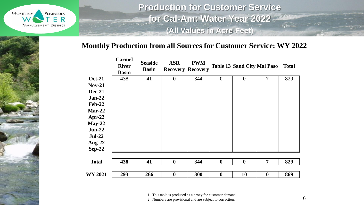

**Production for Customer Service for Cal-Am: Water Year 2022 (All Values in Acre-Feet)**

#### **Monthly Production from all Sources for Customer Service: WY 2022**

|                | <b>Carmel</b><br><b>River</b><br><b>Basin</b> | <b>Seaside</b><br><b>Basin</b> | <b>ASR</b>       | <b>PWM</b><br><b>Recovery Recovery</b> |                  | <b>Table 13 Sand City Mal Paso</b> |                  | <b>Total</b> |
|----------------|-----------------------------------------------|--------------------------------|------------------|----------------------------------------|------------------|------------------------------------|------------------|--------------|
| <b>Oct-21</b>  | 438                                           | 41                             | $\overline{0}$   | 344                                    | $\overline{0}$   | $\overline{0}$                     | $\overline{7}$   | 829          |
| $Nov-21$       |                                               |                                |                  |                                        |                  |                                    |                  |              |
| <b>Dec-21</b>  |                                               |                                |                  |                                        |                  |                                    |                  |              |
| $Jan-22$       |                                               |                                |                  |                                        |                  |                                    |                  |              |
| <b>Feb-22</b>  |                                               |                                |                  |                                        |                  |                                    |                  |              |
| $Mar-22$       |                                               |                                |                  |                                        |                  |                                    |                  |              |
| Apr-22         |                                               |                                |                  |                                        |                  |                                    |                  |              |
| $May-22$       |                                               |                                |                  |                                        |                  |                                    |                  |              |
| $Jun-22$       |                                               |                                |                  |                                        |                  |                                    |                  |              |
| $Jul-22$       |                                               |                                |                  |                                        |                  |                                    |                  |              |
| Aug- $22$      |                                               |                                |                  |                                        |                  |                                    |                  |              |
| $Sep-22$       |                                               |                                |                  |                                        |                  |                                    |                  |              |
| <b>Total</b>   | 438                                           | 41                             | $\boldsymbol{0}$ | 344                                    | $\boldsymbol{0}$ | $\boldsymbol{0}$                   | $\overline{7}$   | 829          |
|                |                                               |                                |                  |                                        |                  |                                    |                  |              |
| <b>WY 2021</b> | 293                                           | 266                            | $\boldsymbol{0}$ | 300                                    | $\boldsymbol{0}$ | 10                                 | $\boldsymbol{0}$ | 869          |

1. This table is produced as a proxy for customer demand.

2. Numbers are provisional and are subject to correction.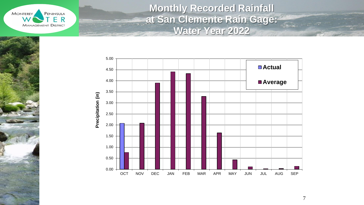

**Monthly Recorded Rainfall at San Clemente Rain Gage: Water Year 2022**



7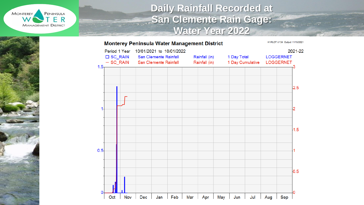

## **Daily Rainfall Recorded at**  San Clemente Rain Gage: **Water Year 2022**

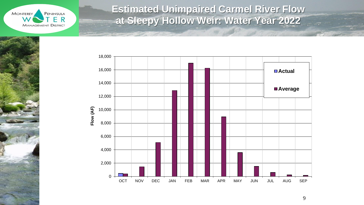

**Contract Contract Contract Contract Contract Contract Contract Contract Contract Contract Contract Contract Contract Contract Contract Contract Contract Contract Contract Contract Contract Contract Contract Contract Contr** 

## **Estimated Unimpaired Carmel River Flow at Sleepy Hollow Weir: Water Year 2022**